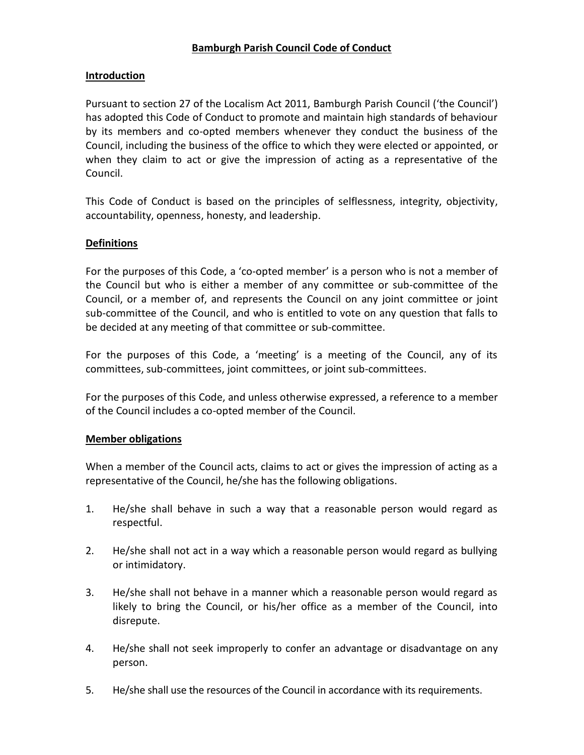## **Introduction**

Pursuant to section 27 of the Localism Act 2011, Bamburgh Parish Council ('the Council') has adopted this Code of Conduct to promote and maintain high standards of behaviour by its members and co-opted members whenever they conduct the business of the Council, including the business of the office to which they were elected or appointed, or when they claim to act or give the impression of acting as a representative of the Council.

This Code of Conduct is based on the principles of selflessness, integrity, objectivity, accountability, openness, honesty, and leadership.

### **Definitions**

For the purposes of this Code, a 'co-opted member' is a person who is not a member of the Council but who is either a member of any committee or sub-committee of the Council, or a member of, and represents the Council on any joint committee or joint sub-committee of the Council, and who is entitled to vote on any question that falls to be decided at any meeting of that committee or sub-committee.

For the purposes of this Code, a 'meeting' is a meeting of the Council, any of its committees, sub-committees, joint committees, or joint sub-committees.

For the purposes of this Code, and unless otherwise expressed, a reference to a member of the Council includes a co-opted member of the Council.

#### **Member obligations**

When a member of the Council acts, claims to act or gives the impression of acting as a representative of the Council, he/she has the following obligations.

- 1. He/she shall behave in such a way that a reasonable person would regard as respectful.
- 2. He/she shall not act in a way which a reasonable person would regard as bullying or intimidatory.
- 3. He/she shall not behave in a manner which a reasonable person would regard as likely to bring the Council, or his/her office as a member of the Council, into disrepute.
- 4. He/she shall not seek improperly to confer an advantage or disadvantage on any person.
- 5. He/she shall use the resources of the Council in accordance with its requirements.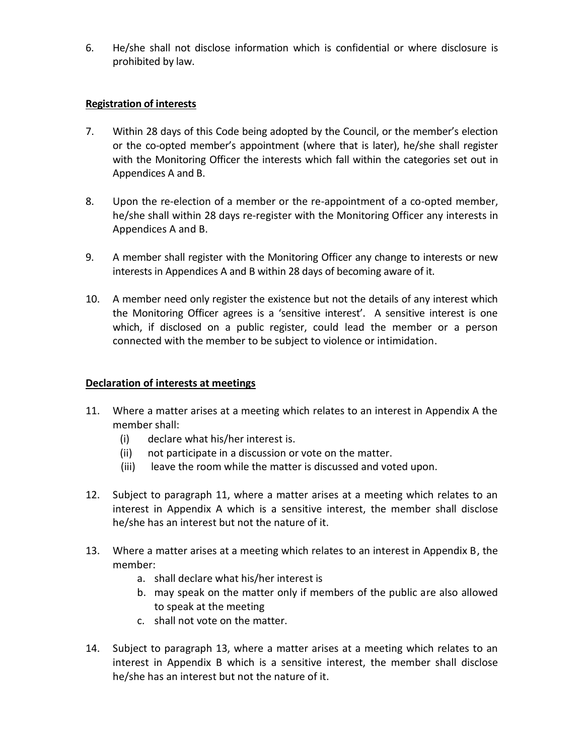6. He/she shall not disclose information which is confidential or where disclosure is prohibited by law.

## **Registration of interests**

- 7. Within 28 days of this Code being adopted by the Council, or the member's election or the co-opted member's appointment (where that is later), he/she shall register with the Monitoring Officer the interests which fall within the categories set out in Appendices A and B.
- 8. Upon the re-election of a member or the re-appointment of a co-opted member, he/she shall within 28 days re-register with the Monitoring Officer any interests in Appendices A and B.
- 9. A member shall register with the Monitoring Officer any change to interests or new interests in Appendices A and B within 28 days of becoming aware of it.
- 10. A member need only register the existence but not the details of any interest which the Monitoring Officer agrees is a 'sensitive interest'. A sensitive interest is one which, if disclosed on a public register, could lead the member or a person connected with the member to be subject to violence or intimidation.

## **Declaration of interests at meetings**

- 11. Where a matter arises at a meeting which relates to an interest in Appendix A the member shall:
	- (i) declare what his/her interest is.
	- (ii) not participate in a discussion or vote on the matter.
	- (iii) leave the room while the matter is discussed and voted upon.
- 12. Subject to paragraph 11, where a matter arises at a meeting which relates to an interest in Appendix A which is a sensitive interest, the member shall disclose he/she has an interest but not the nature of it.
- 13. Where a matter arises at a meeting which relates to an interest in Appendix B, the member:
	- a. shall declare what his/her interest is
	- b. may speak on the matter only if members of the public are also allowed to speak at the meeting
	- c. shall not vote on the matter.
- 14. Subject to paragraph 13, where a matter arises at a meeting which relates to an interest in Appendix B which is a sensitive interest, the member shall disclose he/she has an interest but not the nature of it.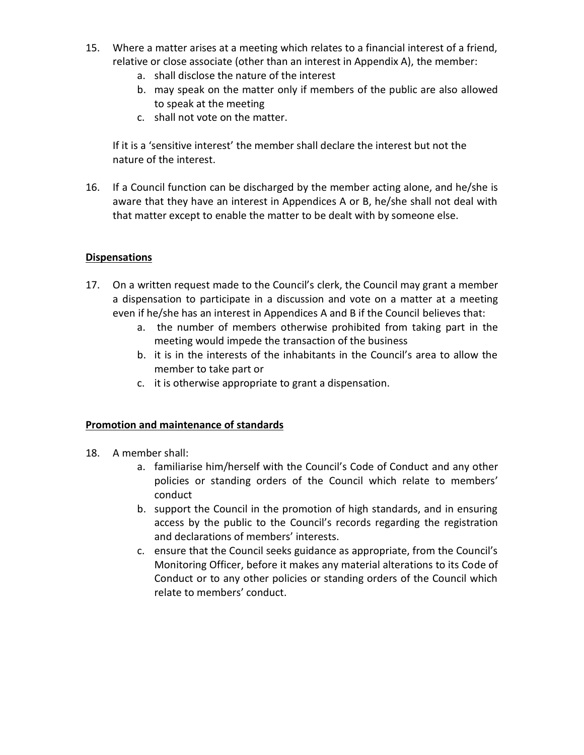- 15. Where a matter arises at a meeting which relates to a financial interest of a friend, relative or close associate (other than an interest in Appendix A), the member:
	- a. shall disclose the nature of the interest
	- b. may speak on the matter only if members of the public are also allowed to speak at the meeting
	- c. shall not vote on the matter.

If it is a 'sensitive interest' the member shall declare the interest but not the nature of the interest.

16. If a Council function can be discharged by the member acting alone, and he/she is aware that they have an interest in Appendices A or B, he/she shall not deal with that matter except to enable the matter to be dealt with by someone else.

## **Dispensations**

- 17. On a written request made to the Council's clerk, the Council may grant a member a dispensation to participate in a discussion and vote on a matter at a meeting even if he/she has an interest in Appendices A and B if the Council believes that:
	- a. the number of members otherwise prohibited from taking part in the meeting would impede the transaction of the business
	- b. it is in the interests of the inhabitants in the Council's area to allow the member to take part or
	- c. it is otherwise appropriate to grant a dispensation.

## **Promotion and maintenance of standards**

- 18. A member shall:
	- a. familiarise him/herself with the Council's Code of Conduct and any other policies or standing orders of the Council which relate to members' conduct
	- b. support the Council in the promotion of high standards, and in ensuring access by the public to the Council's records regarding the registration and declarations of members' interests.
	- c. ensure that the Council seeks guidance as appropriate, from the Council's Monitoring Officer, before it makes any material alterations to its Code of Conduct or to any other policies or standing orders of the Council which relate to members' conduct.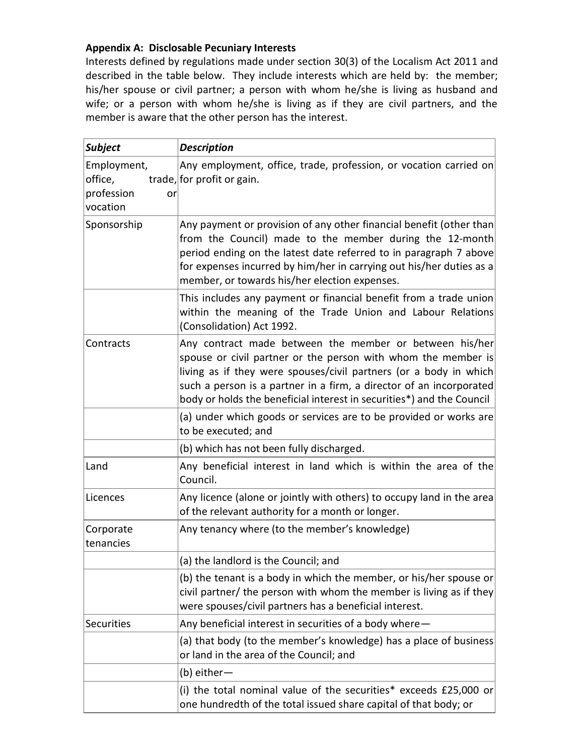# **Appendix A: Disclosable Pecuniary Interests**

Interests defined by regulations made under section 30(3) of the Localism Act 2011 and described in the table below. They include interests which are held by: the member; his/her spouse or civil partner; a person with whom he/she is living as husband and wife; or a person with whom he/she is living as if they are civil partners, and the member is aware that the other person has the interest.

| <b>Subject</b>                                   |    | <b>Description</b>                                                                                                                                                                                                                                                                                                                            |
|--------------------------------------------------|----|-----------------------------------------------------------------------------------------------------------------------------------------------------------------------------------------------------------------------------------------------------------------------------------------------------------------------------------------------|
| Employment,<br>office,<br>profession<br>vocation | or | Any employment, office, trade, profession, or vocation carried on<br>trade, for profit or gain.                                                                                                                                                                                                                                               |
| Sponsorship                                      |    | Any payment or provision of any other financial benefit (other than<br>from the Council) made to the member during the 12-month<br>period ending on the latest date referred to in paragraph 7 above<br>for expenses incurred by him/her in carrying out his/her duties as a<br>member, or towards his/her election expenses.                 |
|                                                  |    | This includes any payment or financial benefit from a trade union<br>within the meaning of the Trade Union and Labour Relations<br>(Consolidation) Act 1992.                                                                                                                                                                                  |
| Contracts                                        |    | Any contract made between the member or between his/her<br>spouse or civil partner or the person with whom the member is<br>living as if they were spouses/civil partners (or a body in which<br>such a person is a partner in a firm, a director of an incorporated<br>body or holds the beneficial interest in securities*) and the Council |
|                                                  |    | (a) under which goods or services are to be provided or works are<br>to be executed; and                                                                                                                                                                                                                                                      |
|                                                  |    | (b) which has not been fully discharged.                                                                                                                                                                                                                                                                                                      |
| Land                                             |    | Any beneficial interest in land which is within the area of the<br>Council.                                                                                                                                                                                                                                                                   |
| Licences                                         |    | Any licence (alone or jointly with others) to occupy land in the area<br>of the relevant authority for a month or longer.                                                                                                                                                                                                                     |
| Corporate<br>tenancies                           |    | Any tenancy where (to the member's knowledge)                                                                                                                                                                                                                                                                                                 |
|                                                  |    | (a) the landlord is the Council; and                                                                                                                                                                                                                                                                                                          |
|                                                  |    | (b) the tenant is a body in which the member, or his/her spouse or<br>civil partner/ the person with whom the member is living as if they<br>were spouses/civil partners has a beneficial interest.                                                                                                                                           |
| <b>Securities</b>                                |    | Any beneficial interest in securities of a body where -                                                                                                                                                                                                                                                                                       |
|                                                  |    | (a) that body (to the member's knowledge) has a place of business<br>or land in the area of the Council; and                                                                                                                                                                                                                                  |
|                                                  |    | (b) either-                                                                                                                                                                                                                                                                                                                                   |
|                                                  |    | (i) the total nominal value of the securities* exceeds £25,000 or<br>one hundredth of the total issued share capital of that body; or                                                                                                                                                                                                         |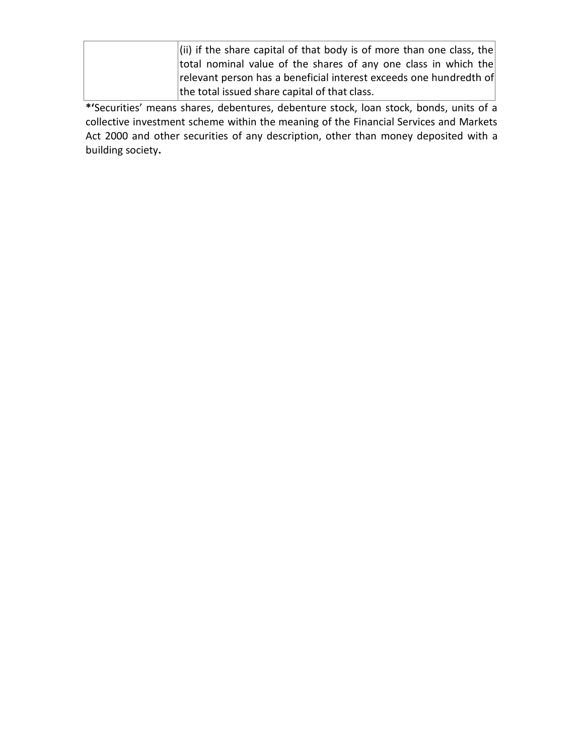| (ii) if the share capital of that body is of more than one class, the |
|-----------------------------------------------------------------------|
| total nominal value of the shares of any one class in which the       |
| relevant person has a beneficial interest exceeds one hundredth of    |
| the total issued share capital of that class.                         |

**\*'**Securities' means shares, debentures, debenture stock, loan stock, bonds, units of a collective investment scheme within the meaning of the Financial Services and Markets Act 2000 and other securities of any description, other than money deposited with a building society**.**